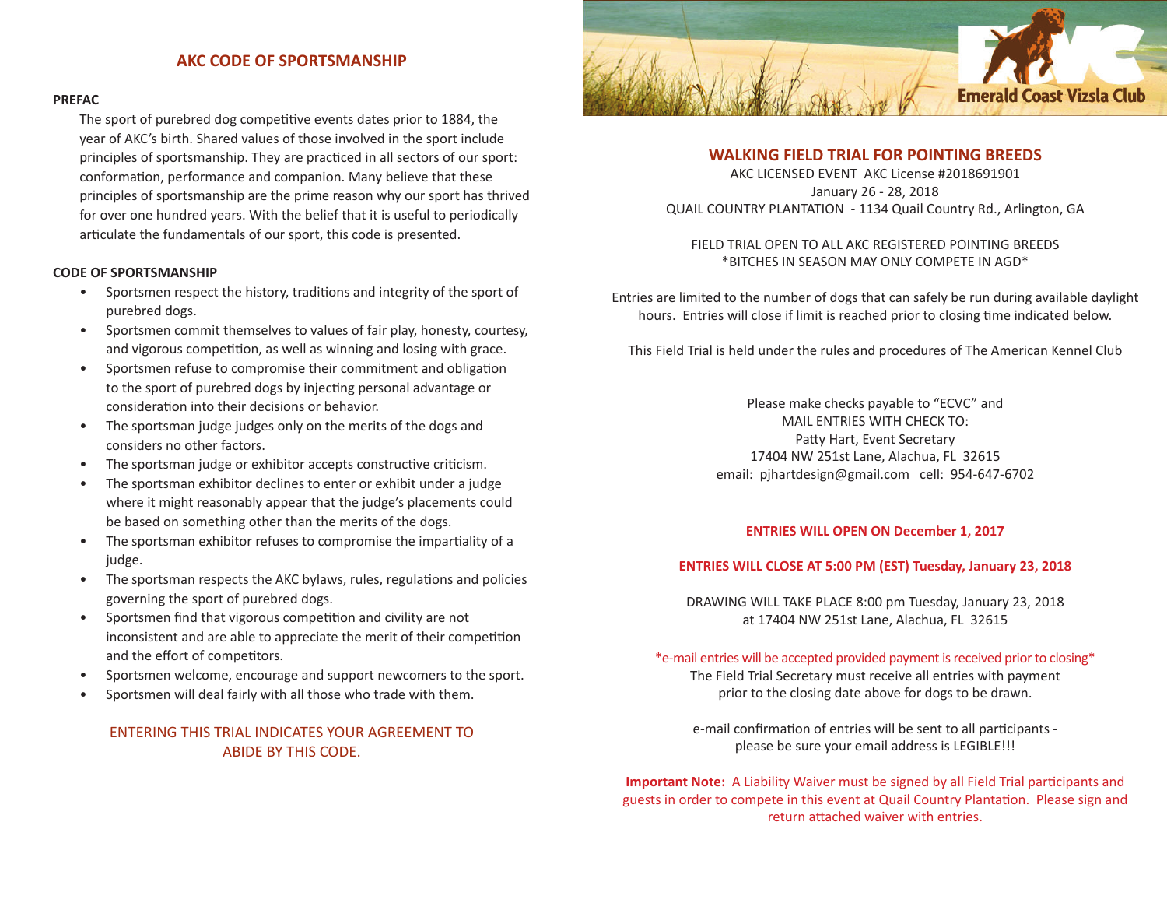### **AKC CODE OF SPORTSMANSHIP**

#### **PREFAC**

The sport of purebred dog competitive events dates prior to 1884, the year of AKC's birth. Shared values of those involved in the sport include principles of sportsmanship. They are practiced in all sectors of our sport: conformation, performance and companion. Many believe that these principles of sportsmanship are the prime reason why our sport has thrived for over one hundred years. With the belief that it is useful to periodically articulate the fundamentals of our sport, this code is presented.

#### **CODE OF SPORTSMANSHIP**

- Sportsmen respect the history, traditions and integrity of the sport of purebred dogs.
- Sportsmen commit themselves to values of fair play, honesty, courtesy, and vigorous competition, as well as winning and losing with grace.
- Sportsmen refuse to compromise their commitment and obligation to the sport of purebred dogs by injecting personal advantage or consideration into their decisions or behavior.
- The sportsman judge judges only on the merits of the dogs and considers no other factors.
- The sportsman judge or exhibitor accepts constructive criticism.
- The sportsman exhibitor declines to enter or exhibit under a judge where it might reasonably appear that the judge's placements could be based on something other than the merits of the dogs.
- The sportsman exhibitor refuses to compromise the impartiality of a judge.
- The sportsman respects the AKC bylaws, rules, regulations and policies governing the sport of purebred dogs.
- Sportsmen find that vigorous competition and civility are not inconsistent and are able to appreciate the merit of their competition and the effort of competitors.
- Sportsmen welcome, encourage and support newcomers to the sport.
- Sportsmen will deal fairly with all those who trade with them.

# ENTERING THIS TRIAL INDICATES YOUR AGREEMENT TO ABIDE BY THIS CODE.



### **WALKING FIELD TRIAL FOR POINTING BREEDS**

AKC LICENSED EVENT AKC License #2018691901 January 26 - 28, 2018 QUAIL COUNTRY PLANTATION - 1134 Quail Country Rd., Arlington, GA

### FIELD TRIAL OPEN TO ALL AKC REGISTERED POINTING BREEDS \*BITCHES IN SEASON MAY ONLY COMPETE IN AGD\*

Entries are limited to the number of dogs that can safely be run during available daylight hours. Entries will close if limit is reached prior to closing time indicated below.

This Field Trial is held under the rules and procedures of The American Kennel Club

Please make checks payable to "ECVC" and MAIL ENTRIES WITH CHECK TO: Patty Hart, Event Secretary 17404 NW 251st Lane, Alachua, FL 32615 email: pjhartdesign@gmail.com cell: 954-647-6702

#### **ENTRIES WILL OPEN ON December 1, 2017**

#### **ENTRIES WILL CLOSE AT 5:00 PM (EST) Tuesday, January 23, 2018**

DRAWING WILL TAKE PLACE 8:00 pm Tuesday, January 23, 2018 at 17404 NW 251st Lane, Alachua, FL 32615

\*e-mail entries will be accepted provided payment is received prior to closing\*

The Field Trial Secretary must receive all entries with payment prior to the closing date above for dogs to be drawn.

e-mail confirmation of entries will be sent to all participants please be sure your email address is LEGIBLE!!!

**Important Note:** A Liability Waiver must be signed by all Field Trial participants and guests in order to compete in this event at Quail Country Plantation. Please sign and return attached waiver with entries.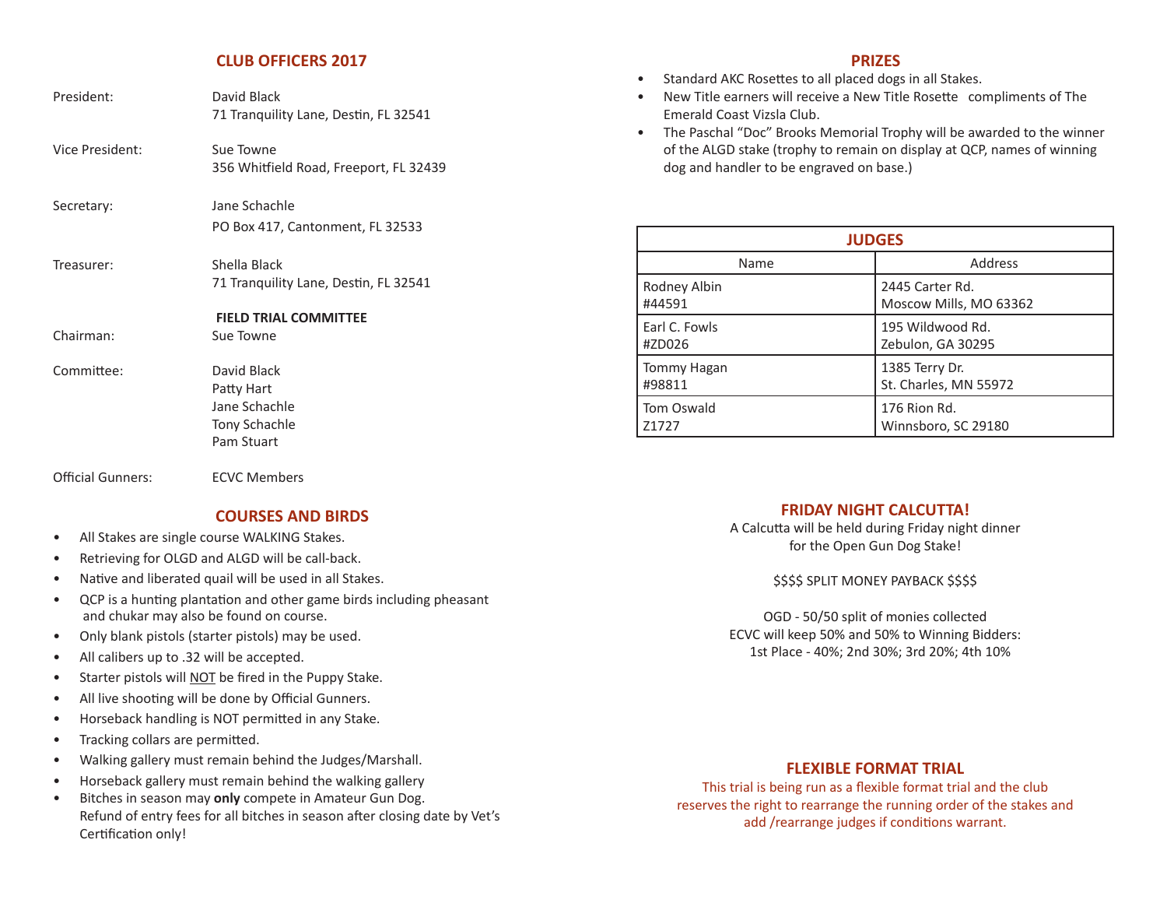### **CLUB OFFICERS 2017**

| President:               | David Black<br>71 Tranquility Lane, Destin, FL 32541                      |
|--------------------------|---------------------------------------------------------------------------|
| Vice President:          | Sue Towne<br>356 Whitfield Road, Freeport, FL 32439                       |
| Secretary:               | Jane Schachle<br>PO Box 417, Cantonment, FL 32533                         |
| Treasurer:               | Shella Black<br>71 Tranquility Lane, Destin, FL 32541                     |
| Chairman:                | <b>FIELD TRIAL COMMITTEE</b><br>Sue Towne                                 |
| Committee:               | David Black<br>Patty Hart<br>Jane Schachle<br>Tony Schachle<br>Pam Stuart |
| <b>Official Gunners:</b> | <b>ECVC Members</b>                                                       |

#### **COURSES AND BIRDS**

- All Stakes are single course WALKING Stakes.
- Retrieving for OLGD and ALGD will be call-back.
- Native and liberated quail will be used in all Stakes.
- QCP is a hunting plantation and other game birds including pheasant and chukar may also be found on course.
- Only blank pistols (starter pistols) may be used.
- All calibers up to .32 will be accepted.
- Starter pistols will NOT be fired in the Puppy Stake.
- All live shooting will be done by Official Gunners.
- Horseback handling is NOT permitted in any Stake.
- Tracking collars are permitted.
- Walking gallery must remain behind the Judges/Marshall.
- Horseback gallery must remain behind the walking gallery
- Bitches in season may **only** compete in Amateur Gun Dog. Refund of entry fees for all bitches in season after closing date by Vet's Certification only!

# **PRIZES**

- Standard AKC Rosettes to all placed dogs in all Stakes.
- New Title earners will receive a New Title Rosette compliments of The Emerald Coast Vizsla Club.
- The Paschal "Doc" Brooks Memorial Trophy will be awarded to the winner of the ALGD stake (trophy to remain on display at QCP, names of winning dog and handler to be engraved on base.)

| <b>JUDGES</b> |                        |  |  |
|---------------|------------------------|--|--|
| Name          | Address                |  |  |
| Rodney Albin  | 2445 Carter Rd.        |  |  |
| #44591        | Moscow Mills, MO 63362 |  |  |
| Earl C. Fowls | 195 Wildwood Rd.       |  |  |
| #ZD026        | Zebulon, GA 30295      |  |  |
| Tommy Hagan   | 1385 Terry Dr.         |  |  |
| #98811        | St. Charles, MN 55972  |  |  |
| Tom Oswald    | 176 Rion Rd.           |  |  |
| Z1727         | Winnsboro, SC 29180    |  |  |

# **FRIDAY NIGHT CALCUTTA!**

A Calcutta will be held during Friday night dinner for the Open Gun Dog Stake!

\$\$\$\$ SPLIT MONEY PAYBACK \$\$\$\$

OGD - 50/50 split of monies collected ECVC will keep 50% and 50% to Winning Bidders: 1st Place - 40%; 2nd 30%; 3rd 20%; 4th 10%

# **FLEXIBLE FORMAT TRIAL**

This trial is being run as a flexible format trial and the club reserves the right to rearrange the running order of the stakes and add /rearrange judges if conditions warrant.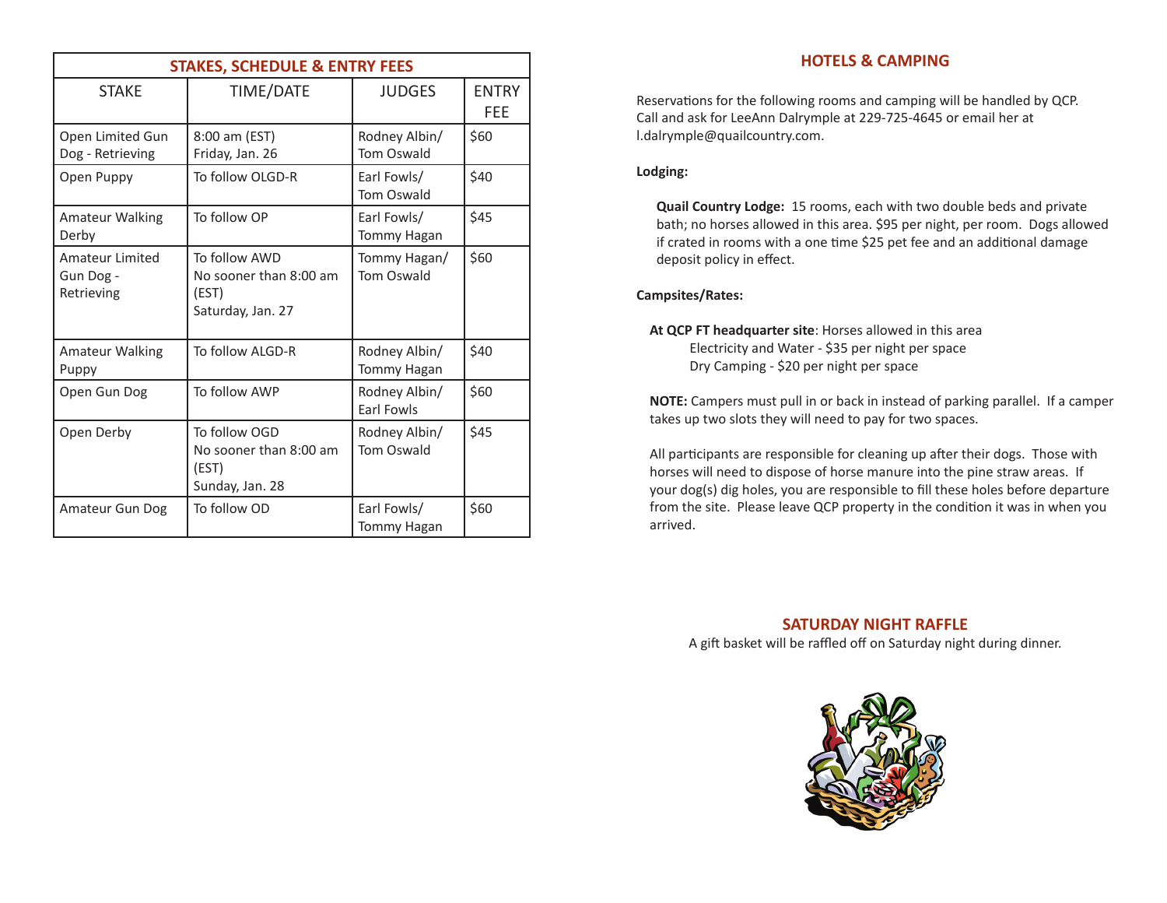| <b>STAKES, SCHEDULE &amp; ENTRY FEES</b>   |                                                                       |                                     |                     |  |
|--------------------------------------------|-----------------------------------------------------------------------|-------------------------------------|---------------------|--|
| <b>STAKE</b>                               | TIME/DATE                                                             | <b>JUDGES</b>                       | <b>ENTRY</b><br>FEE |  |
| Open Limited Gun<br>Dog - Retrieving       | 8:00 am (EST)<br>Friday, Jan. 26                                      | Rodney Albin/<br><b>Tom Oswald</b>  | \$60                |  |
| Open Puppy                                 | To follow OLGD-R                                                      | Earl Fowls/<br><b>Tom Oswald</b>    | \$40                |  |
| <b>Amateur Walking</b><br>Derby            | To follow OP                                                          | Earl Fowls/<br>Tommy Hagan          | \$45                |  |
| Amateur Limited<br>Gun Dog -<br>Retrieving | To follow AWD<br>No sooner than 8:00 am<br>(EST)<br>Saturday, Jan. 27 | Tommy Hagan/<br>Tom Oswald          | \$60                |  |
| <b>Amateur Walking</b><br>Puppy            | To follow ALGD-R                                                      | Rodney Albin/<br><b>Tommy Hagan</b> | \$40                |  |
| Open Gun Dog                               | To follow AWP                                                         | Rodney Albin/<br><b>Farl Fowls</b>  | \$60                |  |
| Open Derby                                 | To follow OGD<br>No sooner than 8:00 am<br>(EST)<br>Sunday, Jan. 28   | Rodney Albin/<br><b>Tom Oswald</b>  | \$45                |  |
| Amateur Gun Dog                            | To follow OD                                                          | Earl Fowls/<br><b>Tommy Hagan</b>   | \$60                |  |

# **HOTELS & CAMPING**

Reservations for the following rooms and camping will be handled by QCP. Call and ask for LeeAnn Dalrymple at 229-725-4645 or email her at l.dalrymple@quailcountry.com.

# **Lodging:**

**Quail Country Lodge:** 15 rooms, each with two double beds and private bath; no horses allowed in this area. \$95 per night, per room. Dogs allowed if crated in rooms with a one time \$25 pet fee and an additional damage deposit policy in effect.

# **Campsites/Rates:**

**At QCP FT headquarter site**: Horses allowed in this area Electricity and Water - \$35 per night per space Dry Camping - \$20 per night per space

**NOTE:** Campers must pull in or back in instead of parking parallel. If a camper takes up two slots they will need to pay for two spaces.

All participants are responsible for cleaning up after their dogs. Those with horses will need to dispose of horse manure into the pine straw areas. If your dog(s) dig holes, you are responsible to fill these holes before departure from the site. Please leave QCP property in the condition it was in when you arrived.

# **SATURDAY NIGHT RAFFLE**

A gift basket will be raffled off on Saturday night during dinner.

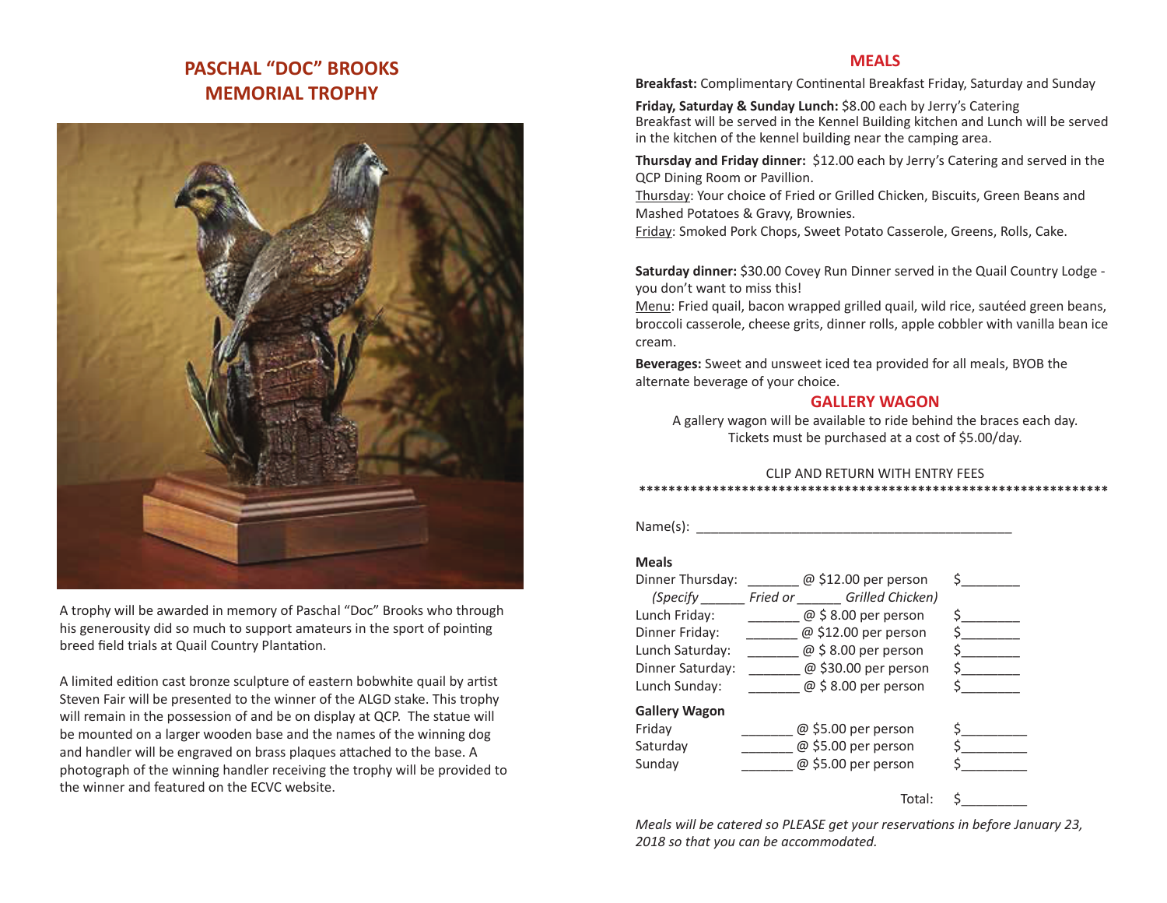# **PASCHAL "DOC" BROOKS MEMORIAL TROPHY**



A trophy will be awarded in memory of Paschal "Doc" Brooks who through his generousity did so much to support amateurs in the sport of pointing breed field trials at Quail Country Plantation.

A limited edition cast bronze sculpture of eastern bobwhite quail by artist Steven Fair will be presented to the winner of the ALGD stake. This trophy will remain in the possession of and be on display at QCP. The statue will be mounted on a larger wooden base and the names of the winning dog and handler will be engraved on brass plaques attached to the base. A photograph of the winning handler receiving the trophy will be provided to the winner and featured on the ECVC website.

### **MEALS**

**Breakfast:** Complimentary Continental Breakfast Friday, Saturday and Sunday

**Friday, Saturday & Sunday Lunch:** \$8.00 each by Jerry's Catering Breakfast will be served in the Kennel Building kitchen and Lunch will be served in the kitchen of the kennel building near the camping area.

**Thursday and Friday dinner:** \$12.00 each by Jerry's Catering and served in the QCP Dining Room or Pavillion.

Thursday: Your choice of Fried or Grilled Chicken, Biscuits, Green Beans and Mashed Potatoes & Gravy, Brownies.

Friday: Smoked Pork Chops, Sweet Potato Casserole, Greens, Rolls, Cake.

**Saturday dinner:** \$30.00 Covey Run Dinner served in the Quail Country Lodge you don't want to miss this!

Menu: Fried quail, bacon wrapped grilled quail, wild rice, sautéed green beans, broccoli casserole, cheese grits, dinner rolls, apple cobbler with vanilla bean ice cream.

**Beverages:** Sweet and unsweet iced tea provided for all meals, BYOB the alternate beverage of your choice.

### **GALLERY WAGON**

A gallery wagon will be available to ride behind the braces each day. Tickets must be purchased at a cost of \$5.00/day.

#### CLIP AND RETURN WITH ENTRY FEES  **\*\*\*\*\*\*\*\*\*\*\*\*\*\*\*\*\*\*\*\*\*\*\*\*\*\*\*\*\*\*\*\*\*\*\*\*\*\*\*\*\*\*\*\*\*\*\*\*\*\*\*\*\*\*\*\*\*\*\*\*\*\*\*\***

 $Name(s):$ 

#### **Meals**

| Dinner Thursday:     | $@$ \$12.00 per person       |  |
|----------------------|------------------------------|--|
| (Specify             | Grilled Chicken)<br>Fried or |  |
| Lunch Friday:        | $@$ \$ 8.00 per person       |  |
| Dinner Friday:       | @ \$12.00 per person         |  |
| Lunch Saturday:      | $@$ \$ 8.00 per person       |  |
| Dinner Saturday:     | @ \$30.00 per person         |  |
| Lunch Sunday:        | $@$ \$ 8.00 per person       |  |
| <b>Gallery Wagon</b> |                              |  |
| Friday               | $@$ \$5.00 per person        |  |
| Saturday             | @ \$5.00 per person          |  |
| Sunday               | @ \$5.00 per person          |  |
|                      |                              |  |

Total:

*Meals will be catered so PLEASE get your reservations in before January 23, 2018 so that you can be accommodated.*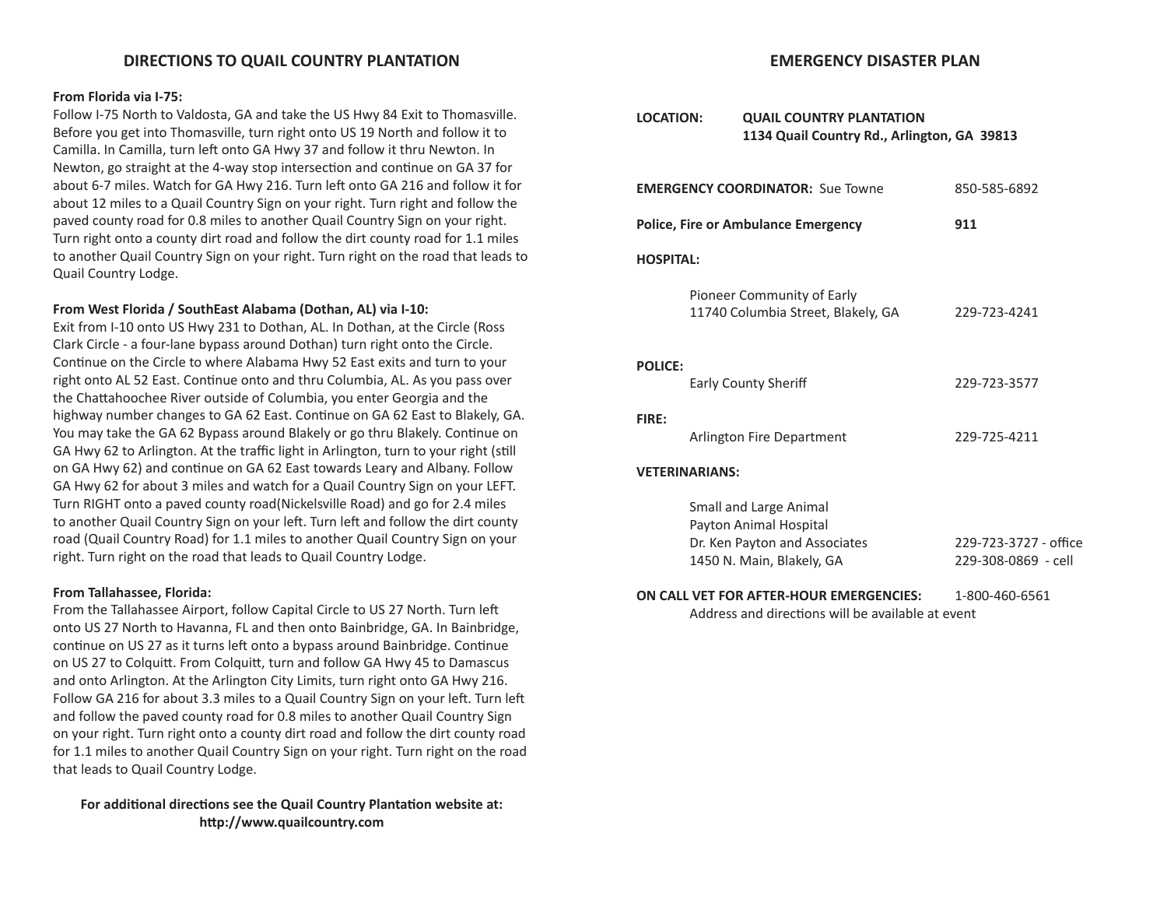# **DIRECTIONS TO QUAIL COUNTRY PLANTATION**

#### **From Florida via I-75:**

Follow I-75 North to Valdosta, GA and take the US Hwy 84 Exit to Thomasville. Before you get into Thomasville, turn right onto US 19 North and follow it to Camilla. In Camilla, turn left onto GA Hwy 37 and follow it thru Newton. In Newton, go straight at the 4-way stop intersection and continue on GA 37 for about 6-7 miles. Watch for GA Hwy 216. Turn left onto GA 216 and follow it for about 12 miles to a Quail Country Sign on your right. Turn right and follow the paved county road for 0.8 miles to another Quail Country Sign on your right. Turn right onto a county dirt road and follow the dirt county road for 1.1 miles to another Quail Country Sign on your right. Turn right on the road that leads to Quail Country Lodge.

#### **From West Florida / SouthEast Alabama (Dothan, AL) via I-10:**

Exit from I-10 onto US Hwy 231 to Dothan, AL. In Dothan, at the Circle (Ross Clark Circle - a four-lane bypass around Dothan) turn right onto the Circle. Continue on the Circle to where Alabama Hwy 52 East exits and turn to your right onto AL 52 East. Continue onto and thru Columbia, AL. As you pass over the Chattahoochee River outside of Columbia, you enter Georgia and the highway number changes to GA 62 East. Continue on GA 62 East to Blakely, GA. You may take the GA 62 Bypass around Blakely or go thru Blakely. Continue on GA Hwy 62 to Arlington. At the traffic light in Arlington, turn to your right (still on GA Hwy 62) and continue on GA 62 East towards Leary and Albany. Follow GA Hwy 62 for about 3 miles and watch for a Quail Country Sign on your LEFT. Turn RIGHT onto a paved county road(Nickelsville Road) and go for 2.4 miles to another Quail Country Sign on your left. Turn left and follow the dirt county road (Quail Country Road) for 1.1 miles to another Quail Country Sign on your right. Turn right on the road that leads to Quail Country Lodge.

#### **From Tallahassee, Florida:**

From the Tallahassee Airport, follow Capital Circle to US 27 North. Turn left onto US 27 North to Havanna, FL and then onto Bainbridge, GA. In Bainbridge, continue on US 27 as it turns left onto a bypass around Bainbridge. Continue on US 27 to Colquitt. From Colquitt, turn and follow GA Hwy 45 to Damascus and onto Arlington. At the Arlington City Limits, turn right onto GA Hwy 216. Follow GA 216 for about 3.3 miles to a Quail Country Sign on your left. Turn left and follow the paved county road for 0.8 miles to another Quail Country Sign on your right. Turn right onto a county dirt road and follow the dirt county road for 1.1 miles to another Quail Country Sign on your right. Turn right on the road that leads to Quail Country Lodge.

**For additional directions see the Quail Country Plantation website at: http://www.quailcountry.com**

### **EMERGENCY DISASTER PLAN**

| <b>LOCATION:</b> | <b>QUAIL COUNTRY PLANTATION</b><br>1134 Quail Country Rd., Arlington, GA 39813                                 |                                              |  |  |  |  |
|------------------|----------------------------------------------------------------------------------------------------------------|----------------------------------------------|--|--|--|--|
|                  | <b>EMERGENCY COORDINATOR: Sue Towne</b><br>850-585-6892                                                        |                                              |  |  |  |  |
|                  | <b>Police, Fire or Ambulance Emergency</b>                                                                     | 911                                          |  |  |  |  |
| <b>HOSPITAL:</b> |                                                                                                                |                                              |  |  |  |  |
|                  | Pioneer Community of Early<br>11740 Columbia Street, Blakely, GA                                               | 229-723-4241                                 |  |  |  |  |
| <b>POLICE:</b>   | <b>Early County Sheriff</b>                                                                                    | 229-723-3577                                 |  |  |  |  |
| <b>FIRE:</b>     | Arlington Fire Department                                                                                      | 229-725-4211                                 |  |  |  |  |
|                  | <b>VETERINARIANS:</b>                                                                                          |                                              |  |  |  |  |
|                  | Small and Large Animal<br>Payton Animal Hospital<br>Dr. Ken Payton and Associates<br>1450 N. Main, Blakely, GA | 229-723-3727 - office<br>229-308-0869 - cell |  |  |  |  |
|                  | ON CALL VET FOR AFTER-HOUR EMERGENCIES:<br>Address and directions will be available at event                   | 1-800-460-6561                               |  |  |  |  |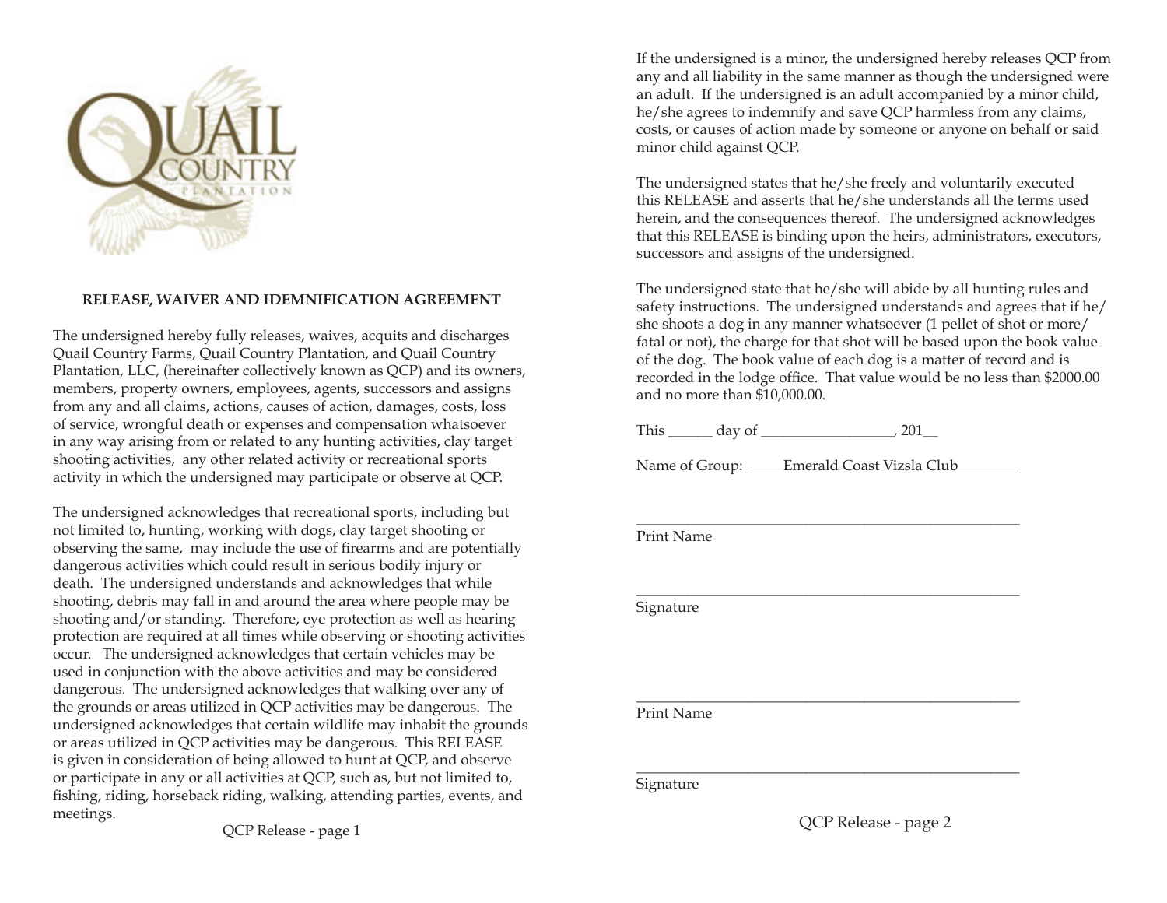

# **RELEASE, WAIVER AND IDEMNIFICATION AGREEMENT**

The undersigned hereby fully releases, waives, acquits and discharges Quail Country Farms, Quail Country Plantation, and Quail Country Plantation, LLC, (hereinafter collectively known as QCP) and its owners, members, property owners, employees, agents, successors and assigns from any and all claims, actions, causes of action, damages, costs, loss of service, wrongful death or expenses and compensation whatsoever in any way arising from or related to any hunting activities, clay target shooting activities, any other related activity or recreational sports activity in which the undersigned may participate or observe at QCP.

The undersigned acknowledges that recreational sports, including but not limited to, hunting, working with dogs, clay target shooting or observing the same, may include the use of firearms and are potentially dangerous activities which could result in serious bodily injury or death. The undersigned understands and acknowledges that while shooting, debris may fall in and around the area where people may be shooting and/or standing. Therefore, eye protection as well as hearing protection are required at all times while observing or shooting activities occur. The undersigned acknowledges that certain vehicles may be used in conjunction with the above activities and may be considered dangerous. The undersigned acknowledges that walking over any of the grounds or areas utilized in QCP activities may be dangerous. The undersigned acknowledges that certain wildlife may inhabit the grounds or areas utilized in QCP activities may be dangerous. This RELEASE is given in consideration of being allowed to hunt at QCP, and observe or participate in any or all activities at QCP, such as, but not limited to, fishing, riding, horseback riding, walking, attending parties, events, and meetings.

If the undersigned is a minor, the undersigned hereby releases QCP from any and all liability in the same manner as though the undersigned were an adult. If the undersigned is an adult accompanied by a minor child, he/she agrees to indemnify and save QCP harmless from any claims, costs, or causes of action made by someone or anyone on behalf or said minor child against QCP.

The undersigned states that he/she freely and voluntarily executed this RELEASE and asserts that he/she understands all the terms used herein, and the consequences thereof. The undersigned acknowledges that this RELEASE is binding upon the heirs, administrators, executors, successors and assigns of the undersigned.

The undersigned state that he/she will abide by all hunting rules and safety instructions. The undersigned understands and agrees that if he/ she shoots a dog in any manner whatsoever (1 pellet of shot or more/ fatal or not), the charge for that shot will be based upon the book value of the dog. The book value of each dog is a matter of record and is recorded in the lodge office. That value would be no less than \$2000.00 and no more than \$10,000.00.

This \_\_\_\_\_\_ day of \_\_\_\_\_\_\_\_\_\_\_\_\_\_\_\_\_\_, 201\_\_

Name of Group: Emerald Coast Vizsla Club

\_\_\_\_\_\_\_\_\_\_\_\_\_\_\_\_\_\_\_\_\_\_\_\_\_\_\_\_\_\_\_\_\_\_\_\_\_\_\_\_\_\_\_\_\_\_\_\_\_\_\_\_

\_\_\_\_\_\_\_\_\_\_\_\_\_\_\_\_\_\_\_\_\_\_\_\_\_\_\_\_\_\_\_\_\_\_\_\_\_\_\_\_\_\_\_\_\_\_\_\_\_\_\_\_

\_\_\_\_\_\_\_\_\_\_\_\_\_\_\_\_\_\_\_\_\_\_\_\_\_\_\_\_\_\_\_\_\_\_\_\_\_\_\_\_\_\_\_\_\_\_\_\_\_\_\_\_

\_\_\_\_\_\_\_\_\_\_\_\_\_\_\_\_\_\_\_\_\_\_\_\_\_\_\_\_\_\_\_\_\_\_\_\_\_\_\_\_\_\_\_\_\_\_\_\_\_\_\_\_

Print Name

Signature

Print Name

Signature

QCP Release - page 2